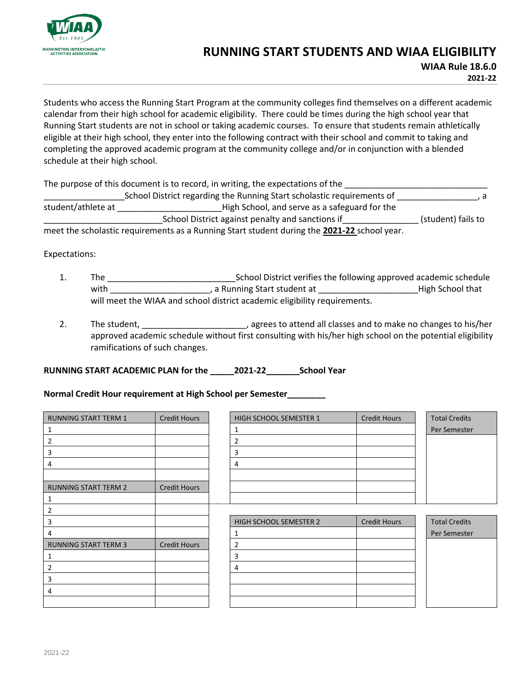

## **RUNNING START STUDENTS AND WIAA ELIGIBILITY**

**WIAA Rule 18.6.0 2021-22**

Students who access the Running Start Program at the community colleges find themselves on a different academic calendar from their high school for academic eligibility. There could be times during the high school year that Running Start students are not in school or taking academic courses. To ensure that students remain athletically eligible at their high school, they enter into the following contract with their school and commit to taking and completing the approved academic program at the community college and/or in conjunction with a blended schedule at their high school.

The purpose of this document is to record, in writing, the expectations of the

\_\_\_\_\_\_\_\_\_\_\_\_\_\_\_\_\_School District regarding the Running Start scholastic requirements of \_\_\_\_\_\_\_\_\_\_\_\_\_\_\_\_\_, a student/athlete at \_\_\_\_\_\_\_\_\_\_\_\_\_\_\_\_\_\_\_\_\_\_High School, and serve as a safeguard for the \_\_\_\_\_\_\_\_\_\_\_\_\_\_\_\_\_\_\_\_\_\_\_\_\_School District against penalty and sanctions if\_\_\_\_\_\_\_\_\_\_\_\_\_\_\_\_ (student) fails to meet the scholastic requirements as a Running Start student during the **2021-22** school year.

Expectations:

- 1. The \_\_\_\_\_\_\_\_\_\_\_\_\_\_\_\_\_\_\_\_\_\_\_\_\_\_\_School District verifies the following approved academic schedule with The Local Corporation of the United States of the United States of the United States of the United States will meet the WIAA and school district academic eligibility requirements.
- 2. The student, **Exercise 2.** The student, **Exercise 2.** The student, **EXERC 2.** The student, **EXERC 2.** The student, **EXERC 2.** The student, **EXERC 2.** The student, **EXERC 2.** The student of the student of the student of approved academic schedule without first consulting with his/her high school on the potential eligibility ramifications of such changes.

**RUNNING START ACADEMIC PLAN for the \_\_\_\_\_2021-22\_\_\_\_\_\_\_School Year**

## **Normal Credit Hour requirement at High School per Semester\_\_\_\_\_\_\_\_**

| <b>RUNNING START TERM 1</b> | <b>Credit Hours</b> | HIGH SCHOOL SEMESTER 1 | <b>Credit Hours</b> | <b>Total Credits</b> |
|-----------------------------|---------------------|------------------------|---------------------|----------------------|
| 1                           |                     | 1                      |                     | Per Semester         |
| 2                           |                     | $\overline{2}$         |                     |                      |
| 3                           |                     | 3                      |                     |                      |
| 4                           |                     | 4                      |                     |                      |
|                             |                     |                        |                     |                      |
| <b>RUNNING START TERM 2</b> | <b>Credit Hours</b> |                        |                     |                      |
| 1                           |                     |                        |                     |                      |
| 2                           |                     |                        |                     |                      |
| 3                           |                     | HIGH SCHOOL SEMESTER 2 | <b>Credit Hours</b> | <b>Total Credits</b> |
| 4                           |                     | 1                      |                     | Per Semester         |
| <b>RUNNING START TERM 3</b> | <b>Credit Hours</b> | $\overline{2}$         |                     |                      |
| 1                           |                     | 3                      |                     |                      |
| $\overline{2}$              |                     | 4                      |                     |                      |
| 3                           |                     |                        |                     |                      |
| 4                           |                     |                        |                     |                      |
|                             |                     |                        |                     |                      |